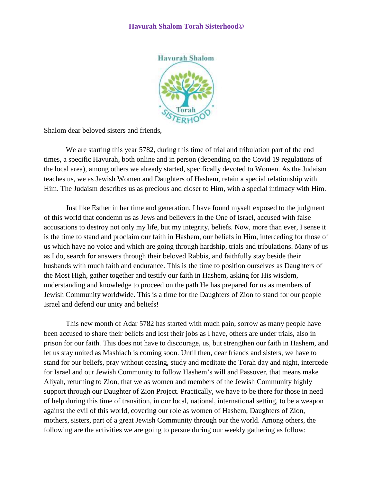## **Havurah Shalom Torah Sisterhood©**



Shalom dear beloved sisters and friends,

 We are starting this year 5782, during this time of trial and tribulation part of the end times, a specific Havurah, both online and in person (depending on the Covid 19 regulations of the local area), among others we already started, specifically devoted to Women. As the Judaism teaches us, we as Jewish Women and Daughters of Hashem, retain a special relationship with Him. The Judaism describes us as precious and closer to Him, with a special intimacy with Him.

Just like Esther in her time and generation, I have found myself exposed to the judgment of this world that condemn us as Jews and believers in the One of Israel, accused with false accusations to destroy not only my life, but my integrity, beliefs. Now, more than ever, I sense it is the time to stand and proclaim our faith in Hashem, our beliefs in Him, interceding for those of us which have no voice and which are going through hardship, trials and tribulations. Many of us as I do, search for answers through their beloved Rabbis, and faithfully stay beside their husbands with much faith and endurance. This is the time to position ourselves as Daughters of the Most High, gather together and testify our faith in Hashem, asking for His wisdom, understanding and knowledge to proceed on the path He has prepared for us as members of Jewish Community worldwide. This is a time for the Daughters of Zion to stand for our people Israel and defend our unity and beliefs!

This new month of Adar 5782 has started with much pain, sorrow as many people have been accused to share their beliefs and lost their jobs as I have, others are under trials, also in prison for our faith. This does not have to discourage, us, but strengthen our faith in Hashem, and let us stay united as Mashiach is coming soon. Until then, dear friends and sisters, we have to stand for our beliefs, pray without ceasing, study and meditate the Torah day and night, intercede for Israel and our Jewish Community to follow Hashem's will and Passover, that means make Aliyah, returning to Zion, that we as women and members of the Jewish Community highly support through our Daughter of Zion Project. Practically, we have to be there for those in need of help during this time of transition, in our local, national, international setting, to be a weapon against the evil of this world, covering our role as women of Hashem, Daughters of Zion, mothers, sisters, part of a great Jewish Community through our the world. Among others, the following are the activities we are going to persue during our weekly gathering as follow: